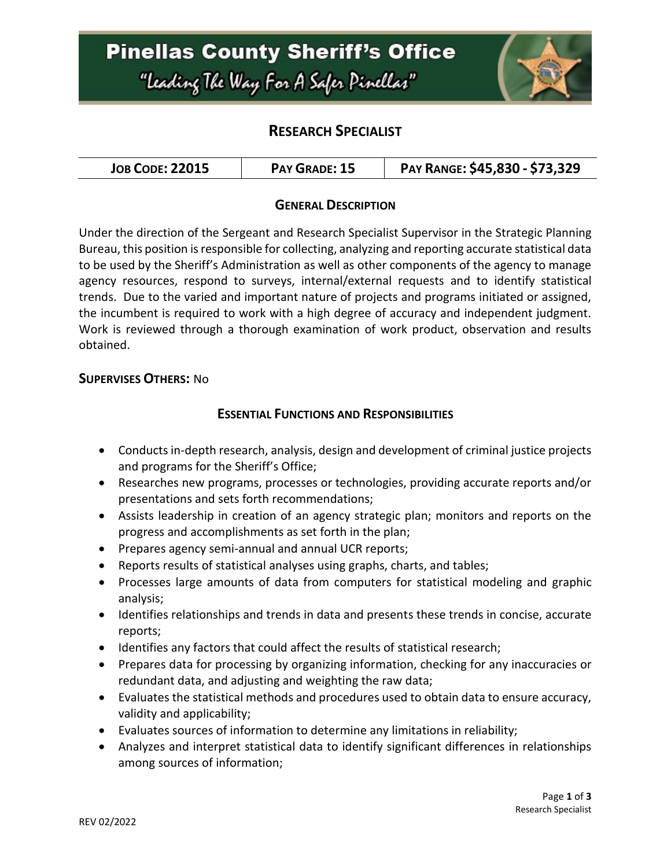

## **RESEARCH SPECIALIST**

| <b>JOB CODE: 22015</b> | PAY GRADE: 15 | PAY RANGE: \$45,830 - \$73,329 |
|------------------------|---------------|--------------------------------|
|------------------------|---------------|--------------------------------|

### **GENERAL DESCRIPTION**

Under the direction of the Sergeant and Research Specialist Supervisor in the Strategic Planning Bureau, this position is responsible for collecting, analyzing and reporting accurate statistical data to be used by the Sheriff's Administration as well as other components of the agency to manage agency resources, respond to surveys, internal/external requests and to identify statistical trends. Due to the varied and important nature of projects and programs initiated or assigned, the incumbent is required to work with a high degree of accuracy and independent judgment. Work is reviewed through a thorough examination of work product, observation and results obtained.

#### **SUPERVISES OTHERS:** No

#### **ESSENTIAL FUNCTIONS AND RESPONSIBILITIES**

- Conducts in-depth research, analysis, design and development of criminal justice projects and programs for the Sheriff's Office;
- Researches new programs, processes or technologies, providing accurate reports and/or presentations and sets forth recommendations;
- Assists leadership in creation of an agency strategic plan; monitors and reports on the progress and accomplishments as set forth in the plan;
- Prepares agency semi-annual and annual UCR reports;
- Reports results of statistical analyses using graphs, charts, and tables;
- Processes large amounts of data from computers for statistical modeling and graphic analysis;
- Identifies relationships and trends in data and presents these trends in concise, accurate reports;
- Identifies any factors that could affect the results of statistical research;
- Prepares data for processing by organizing information, checking for any inaccuracies or redundant data, and adjusting and weighting the raw data;
- Evaluates the statistical methods and procedures used to obtain data to ensure accuracy, validity and applicability;
- Evaluates sources of information to determine any limitations in reliability;
- Analyzes and interpret statistical data to identify significant differences in relationships among sources of information;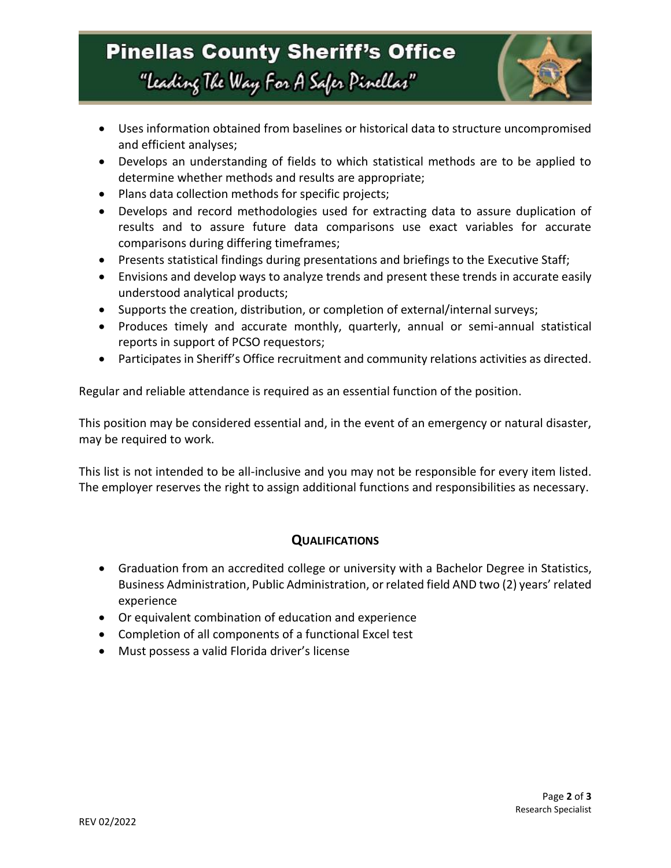# **Pinellas County Sheriff's Office** "Leading The Way For A Safer Pinellar"

- Uses information obtained from baselines or historical data to structure uncompromised and efficient analyses;
- Develops an understanding of fields to which statistical methods are to be applied to determine whether methods and results are appropriate;
- Plans data collection methods for specific projects;
- Develops and record methodologies used for extracting data to assure duplication of results and to assure future data comparisons use exact variables for accurate comparisons during differing timeframes;
- Presents statistical findings during presentations and briefings to the Executive Staff;
- Envisions and develop ways to analyze trends and present these trends in accurate easily understood analytical products;
- Supports the creation, distribution, or completion of external/internal surveys;
- Produces timely and accurate monthly, quarterly, annual or semi-annual statistical reports in support of PCSO requestors;
- Participates in Sheriff's Office recruitment and community relations activities as directed.

Regular and reliable attendance is required as an essential function of the position.

This position may be considered essential and, in the event of an emergency or natural disaster, may be required to work.

This list is not intended to be all-inclusive and you may not be responsible for every item listed. The employer reserves the right to assign additional functions and responsibilities as necessary.

### **QUALIFICATIONS**

- Graduation from an accredited college or university with a Bachelor Degree in Statistics, Business Administration, Public Administration, or related field AND two (2) years' related experience
- Or equivalent combination of education and experience
- Completion of all components of a functional Excel test
- Must possess a valid Florida driver's license